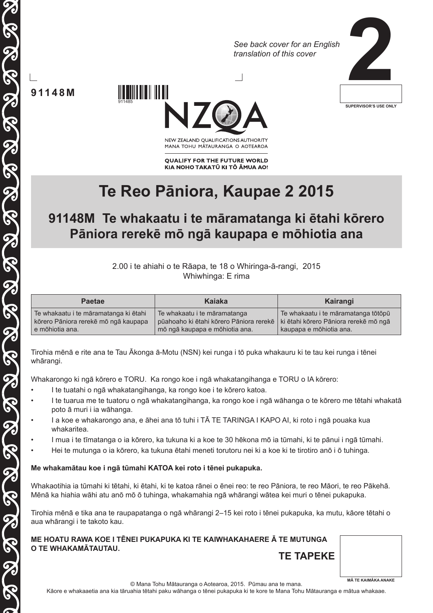*See back cover for an English translation of this cover*



**91148M**

**80 00** 

THE GRAND SERIE SERIE SERIE SERIE

5

911485



NEW ZEALAND OUALIFICATIONS AUTHORITY MANA TOHU MATAURANGA O AOTEAROA

**QUALIFY FOR THE FUTURE WORLD** KIA NOHO TAKATŪ KI TŌ ĀMUA AO!

# **Te Reo Pāniora, Kaupae 2 2015**

# **91148M Te whakaatu i te māramatanga ki ētahi kōrero Pāniora rerekē mō ngā kaupapa e mōhiotia ana**

2.00 i te ahiahi o te Rāapa, te 18 o Whiringa-ā-rangi, 2015 Whiwhinga: E rima

| <b>Paetae</b>                         | Kaiaka                                  | Kairangi                              |
|---------------------------------------|-----------------------------------------|---------------------------------------|
| Te whakaatu i te māramatanga ki ētahi | Te whakaatu i te māramatanga            | Te whakaatu i te māramatanga tōtōpū   |
| kõrero Pāniora rerekē mõ ngā kaupapa  | pūahoaho ki ētahi kōrero Pāniora rerekē | ki ētahi kōrero Pāniora rerekē mō ngā |
| e mõhiotia ana.                       | mō ngā kaupapa e mōhiotia ana.          | kaupapa e mōhiotia ana.               |

Tirohia mēnā e rite ana te Tau Ākonga ā-Motu (NSN) kei runga i tō puka whakauru ki te tau kei runga i tēnei whārangi.

Whakarongo ki ngā kōrero e TORU. Ka rongo koe i ngā whakatangihanga e TORU o IA kōrero:

- I te tuatahi o ngā whakatangihanga, ka rongo koe i te kōrero katoa.
- I te tuarua me te tuatoru o ngā whakatangihanga, ka rongo koe i ngā wāhanga o te kōrero me tētahi whakatā poto ā muri i ia wāhanga.
- I a koe e whakarongo ana, e āhei ana tō tuhi i TĀ TE TARINGA I KAPO AI, ki roto i ngā pouaka kua whakaritea.
- I mua i te tīmatanga o ia kōrero, ka tukuna ki a koe te 30 hēkona mō ia tūmahi, ki te pānui i ngā tūmahi.
- Hei te mutunga o ia kōrero, ka tukuna ētahi meneti torutoru nei ki a koe ki te tirotiro anō i ō tuhinga.

#### **Me whakamātau koe i ngā tūmahi KATOA kei roto i tēnei pukapuka.**

Whakaotihia ia tūmahi ki tētahi, ki ētahi, ki te katoa rānei o ēnei reo: te reo Pāniora, te reo Māori, te reo Pākehā. Mēnā ka hiahia wāhi atu anō mō ō tuhinga, whakamahia ngā whārangi wātea kei muri o tēnei pukapuka.

Tirohia mēnā e tika ana te raupapatanga o ngā whārangi 2–15 kei roto i tēnei pukapuka, ka mutu, kāore tētahi o aua whārangi i te takoto kau.

**ME HOATU RAWA KOE I TĒNEI PUKAPUKA KI TE KAIWHAKAHAERE Ā TE MUTUNGA O TE WHAKAMĀTAUTAU. TE TAPEKE**

**MĀ TE KAIMĀKA ANAKE**

© Mana Tohu Mātauranga o Aotearoa, 2015. Pūmau ana te mana.

Kāore e whakaaetia ana kia tāruahia tētahi paku wāhanga o tēnei pukapuka ki te kore te Mana Tohu Mātauranga e mātua whakaae.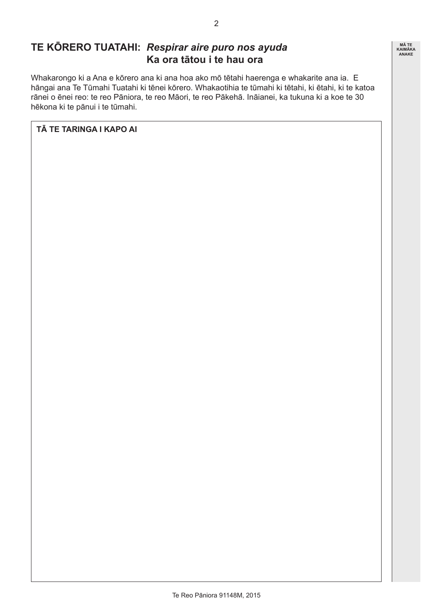# **TE KŌRERO TUATAHI:** *Respirar aire puro nos ayuda* **Ka ora tātou i te hau ora**

Whakarongo ki a Ana e kōrero ana ki ana hoa ako mō tētahi haerenga e whakarite ana ia. E hāngai ana Te Tūmahi Tuatahi ki tēnei kōrero. Whakaotihia te tūmahi ki tētahi, ki ētahi, ki te katoa rānei o ēnei reo: te reo Pāniora, te reo Māori, te reo Pākehā. Ināianei, ka tukuna ki a koe te 30 hēkona ki te pānui i te tūmahi.

**TĀ TE TARINGA I KAPO AI**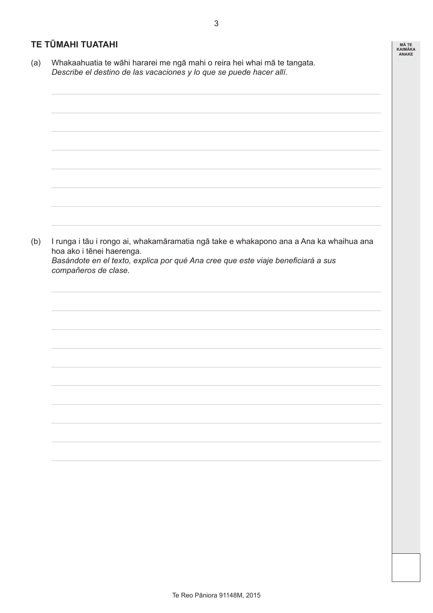#### **TE TŪMAHI TUATAHI**

(a) Whakaahuatia te wāhi hararei me ngā mahi o reira hei whai mā te tangata. *Describe el destino de las vacaciones y lo que se puede hacer allí.*

(b) I runga i tāu i rongo ai, whakamāramatia ngā take e whakapono ana a Ana ka whaihua ana hoa ako i tēnei haerenga. *Basándote en el texto, explica por qué Ana cree que este viaje beneficiará a sus compañeros de clase.*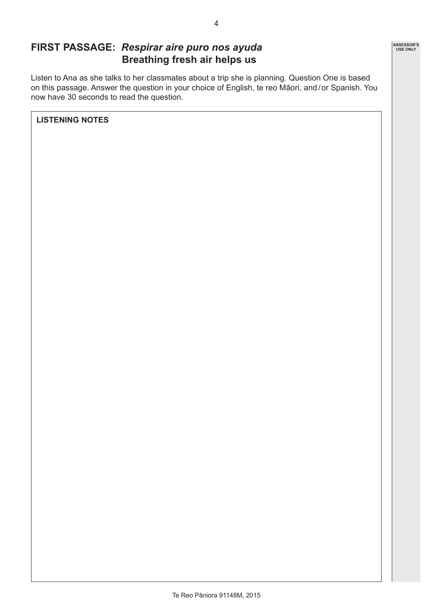### **FIRST PASSAGE:** *Respirar aire puro nos ayuda* **Breathing fresh air helps us**

Listen to Ana as she talks to her classmates about a trip she is planning. Question One is based on this passage. Answer the question in your choice of English, te reo Māori, and/or Spanish. You now have 30 seconds to read the question.

**LISTENING NOTES**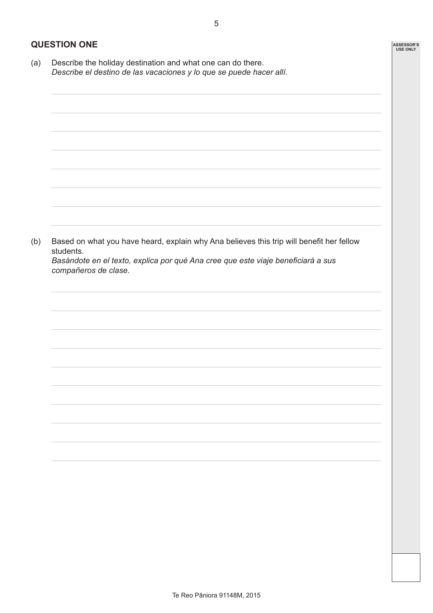#### **QUESTION ONE**

*compañeros de clase.*

(a) Describe the holiday destination and what one can do there. *Describe el destino de las vacaciones y lo que se puede hacer allí.*

(b) Based on what you have heard, explain why Ana believes this trip will benefit her fellow students. *Basándote en el texto, explica por qué Ana cree que este viaje beneficiará a sus* 

Te Reo Pāniora 91148M, 2015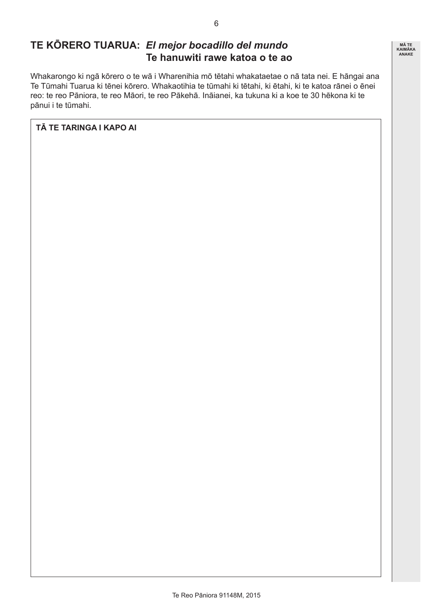# **TE KŌRERO TUARUA:** *El mejor bocadillo del mundo* **Te hanuwiti rawe katoa o te ao**

Whakarongo ki ngā kōrero o te wā i Wharenihia mō tētahi whakataetae o nā tata nei. E hāngai ana Te Tūmahi Tuarua ki tēnei kōrero. Whakaotihia te tūmahi ki tētahi, ki ētahi, ki te katoa rānei o ēnei reo: te reo Pāniora, te reo Māori, te reo Pākehā. Ināianei, ka tukuna ki a koe te 30 hēkona ki te pānui i te tūmahi.

#### **TĀ TE TARINGA I KAPO AI**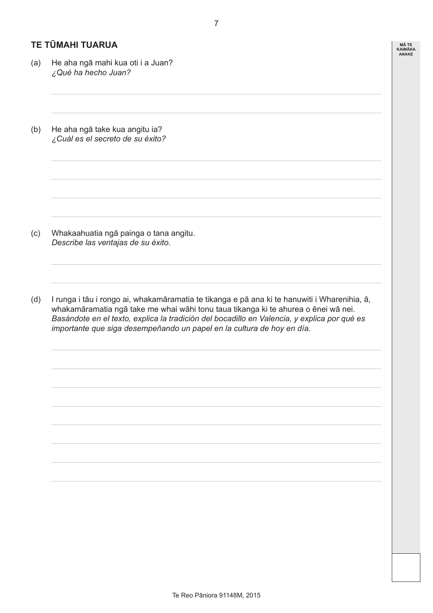#### **TE TŪMAHI TUARUA**

- (a) He aha ngā mahi kua oti i a Juan? *¿Qué ha hecho Juan?*
- (b) He aha ngā take kua angitu ia? *¿Cuál es el secreto de su éxito?*

- (c) Whakaahuatia ngā painga o tana angitu. *Describe las ventajas de su éxito.*
- (d) I runga i tāu i rongo ai, whakamāramatia te tikanga e pā ana ki te hanuwiti i Wharenihia, ā, whakamāramatia ngā take me whai wāhi tonu taua tikanga ki te ahurea o ēnei wā nei. *Basándote en el texto, explica la tradición del bocadillo en Valencia, y explica por qué es importante que siga desempeñando un papel en la cultura de hoy en día.*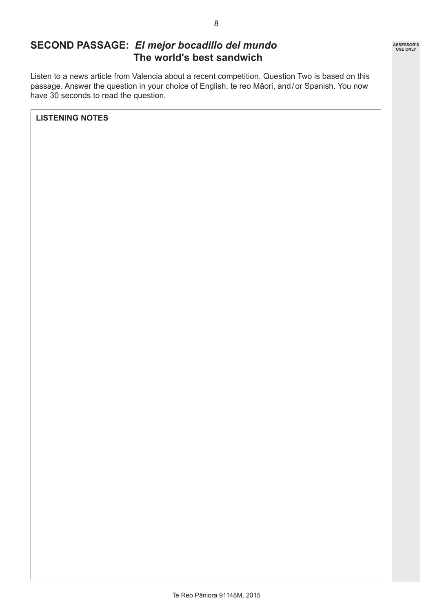### **SECOND PASSAGE:** *El mejor bocadillo del mundo* **The world's best sandwich**

Listen to a news article from Valencia about a recent competition. Question Two is based on this passage. Answer the question in your choice of English, te reo Māori, and/or Spanish. You now have 30 seconds to read the question.

**LISTENING NOTES**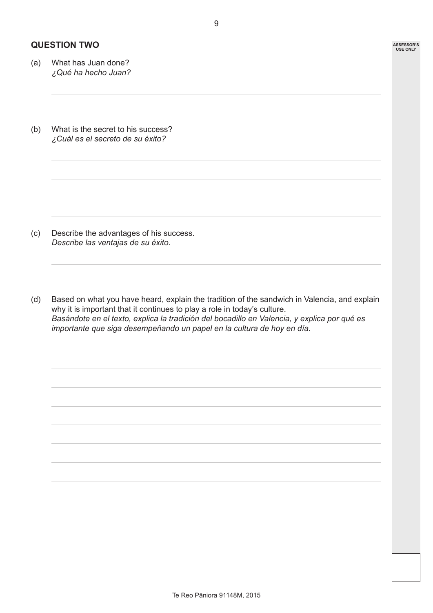#### **QUESTION TWO**

- (a) What has Juan done? *¿Qué ha hecho Juan?*
- (b) What is the secret to his success? *¿Cuál es el secreto de su éxito?*

- (c) Describe the advantages of his success. *Describe las ventajas de su éxito.*
- (d) Based on what you have heard, explain the tradition of the sandwich in Valencia, and explain why it is important that it continues to play a role in today's culture. *Basándote en el texto, explica la tradición del bocadillo en Valencia, y explica por qué es importante que siga desempeñando un papel en la cultura de hoy en día.*

Te Reo Pāniora 91148M, 2015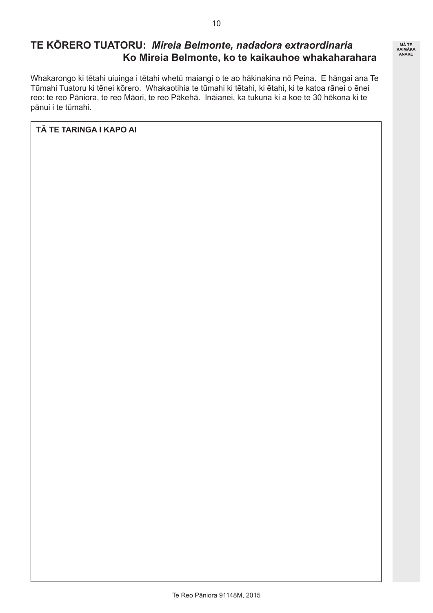# **TE KŌRERO TUATORU:** *Mireia Belmonte, nadadora extraordinaria* **Ko Mireia Belmonte, ko te kaikauhoe whakaharahara**

Whakarongo ki tētahi uiuinga i tētahi whetū maiangi o te ao hākinakina nō Peina. E hāngai ana Te Tūmahi Tuatoru ki tēnei kōrero. Whakaotihia te tūmahi ki tētahi, ki ētahi, ki te katoa rānei o ēnei reo: te reo Pāniora, te reo Māori, te reo Pākehā. Ināianei, ka tukuna ki a koe te 30 hēkona ki te pānui i te tūmahi.

**TĀ TE TARINGA I KAPO AI**

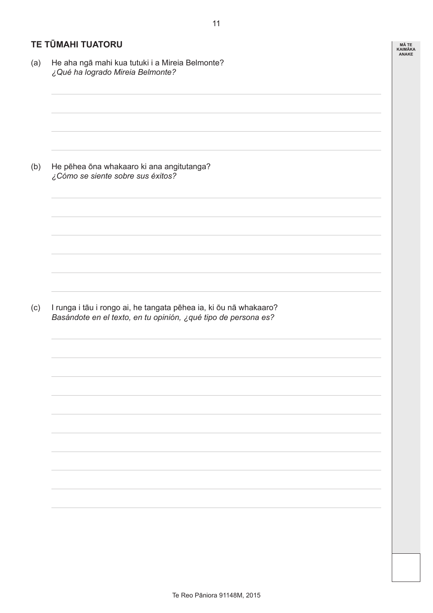#### **TE TŪMAHI TUATORU**

(a) He aha ngā mahi kua tutuki i a Mireia Belmonte? *¿Qué ha logrado Mireia Belmonte?* (b) He pēhea ōna whakaaro ki ana angitutanga? *¿Cómo se siente sobre sus éxitos?* (c) I runga i tāu i rongo ai, he tangata pēhea ia, ki ōu nā whakaaro? *Basándote en el texto, en tu opinión, ¿qué tipo de persona es?* **MĀ TE KAIMĀKA ANAKE**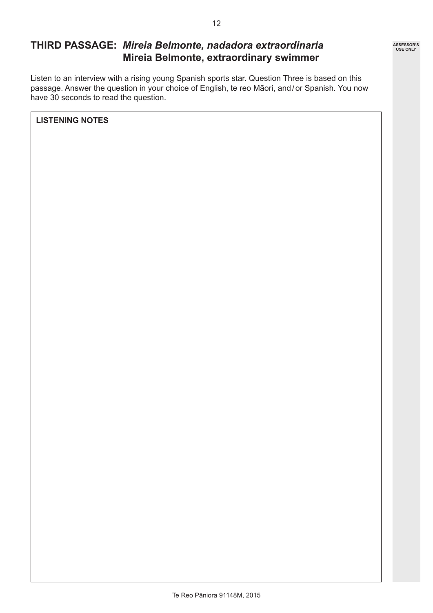# **THIRD PASSAGE:** *Mireia Belmonte, nadadora extraordinaria* **Mireia Belmonte, extraordinary swimmer**

Listen to an interview with a rising young Spanish sports star. Question Three is based on this passage. Answer the question in your choice of English, te reo Māori, and/or Spanish. You now have 30 seconds to read the question.

**LISTENING NOTES**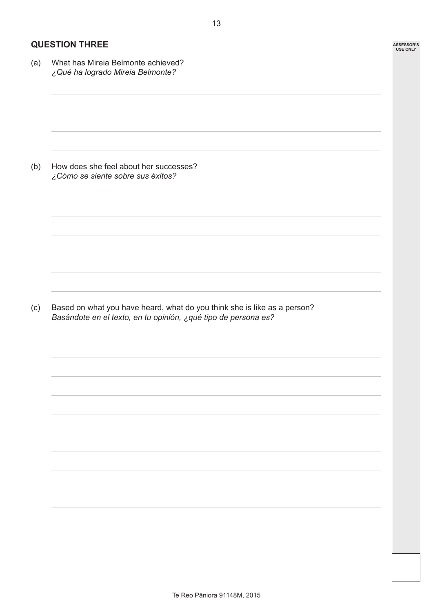#### **QUESTION THREE**

(a) What has Mireia Belmonte achieved? *¿Qué ha logrado Mireia Belmonte?* (b) How does she feel about her successes? *¿Cómo se siente sobre sus éxitos?* (c) Based on what you have heard, what do you think she is like as a person? *Basándote en el texto, en tu opinión, ¿qué tipo de persona es?*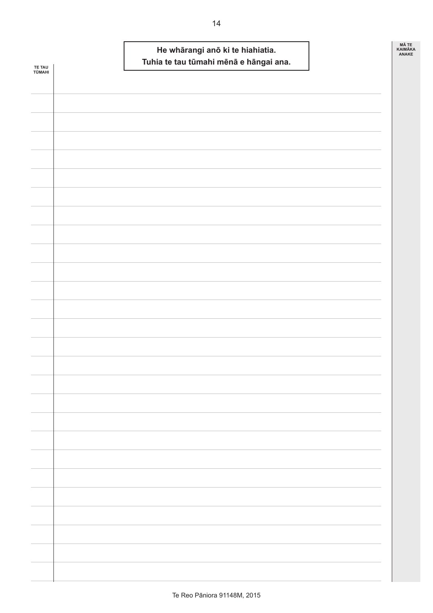| TE TAU<br>TŪMAHI | He whārangi anō ki te hiahiatia.<br>Tuhia te tau tūmahi mēnā e hāngai ana. | MÃ TE<br>KAIMĀKA<br><b>ANAKE</b> |
|------------------|----------------------------------------------------------------------------|----------------------------------|
|                  |                                                                            |                                  |
|                  |                                                                            |                                  |
|                  |                                                                            |                                  |
|                  |                                                                            |                                  |
|                  |                                                                            |                                  |
|                  |                                                                            |                                  |
|                  |                                                                            |                                  |
|                  |                                                                            |                                  |
|                  |                                                                            |                                  |
|                  |                                                                            |                                  |
|                  |                                                                            |                                  |
|                  |                                                                            |                                  |
|                  |                                                                            |                                  |
|                  |                                                                            |                                  |
|                  |                                                                            |                                  |
|                  |                                                                            |                                  |
|                  |                                                                            |                                  |
|                  |                                                                            |                                  |
|                  |                                                                            |                                  |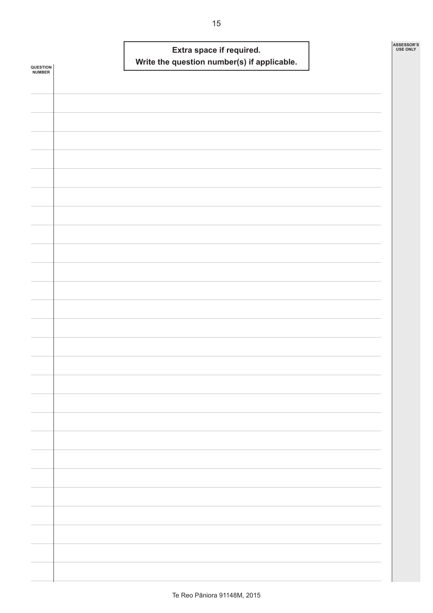| <b>QUESTION<br/>NUMBER</b> |  | Write the question number(s) if applicable. | Extra space if required. |  | ASSESSOR'S<br><b>USE ONLY</b> |
|----------------------------|--|---------------------------------------------|--------------------------|--|-------------------------------|
|                            |  |                                             |                          |  |                               |
|                            |  |                                             |                          |  |                               |
|                            |  |                                             |                          |  |                               |
|                            |  |                                             |                          |  |                               |
|                            |  |                                             |                          |  |                               |
|                            |  |                                             |                          |  |                               |
|                            |  |                                             |                          |  |                               |
|                            |  |                                             |                          |  |                               |
|                            |  |                                             |                          |  |                               |
|                            |  |                                             |                          |  |                               |
|                            |  |                                             |                          |  |                               |
|                            |  |                                             |                          |  |                               |
|                            |  |                                             |                          |  |                               |
|                            |  |                                             |                          |  |                               |
|                            |  |                                             |                          |  |                               |
|                            |  |                                             |                          |  |                               |
|                            |  |                                             |                          |  |                               |
|                            |  |                                             |                          |  |                               |
|                            |  |                                             |                          |  |                               |
|                            |  |                                             |                          |  |                               |
|                            |  |                                             |                          |  |                               |